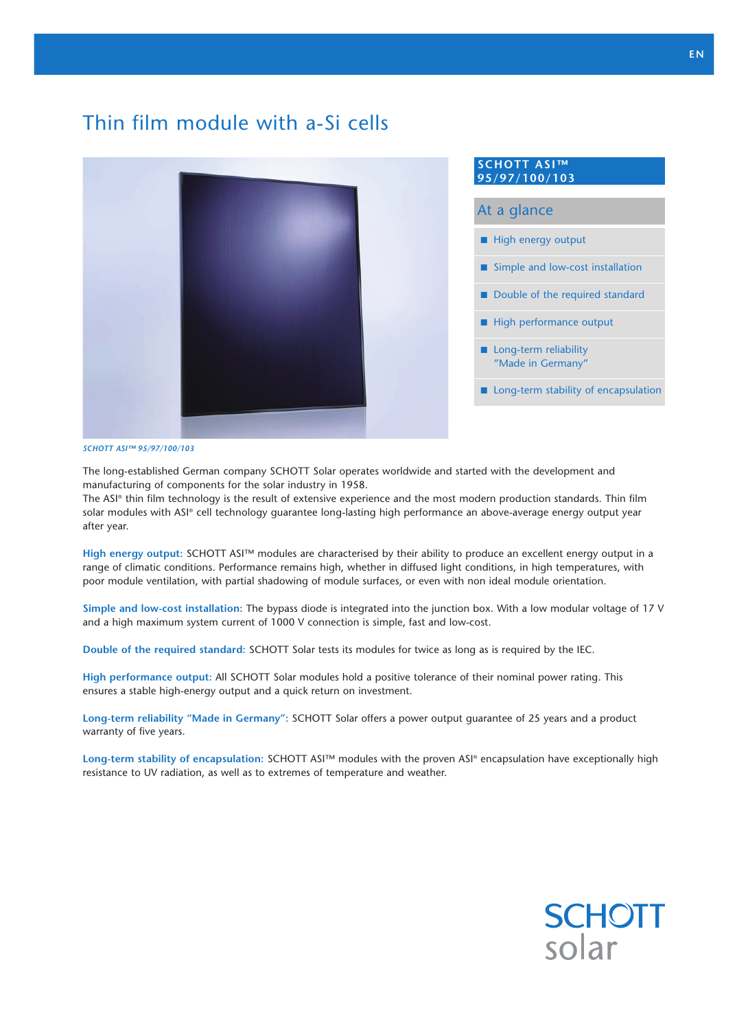# Thin film module with a-Si cells



 $\blacksquare$  High energy output  $\blacksquare$  Simple and low-cost installation  $\blacksquare$  Double of the required standard  $\blacksquare$  High performance output  $\blacksquare$  Long-term reliability "Made in Germany"  $\blacksquare$  Long-term stability of encapsulation At a glance **SCHOTT ASI™ 95/97/100/103**

#### *SCHOTT ASI™ 95/97/100/103*

The long-established German company SCHOTT Solar operates worldwide and started with the development and manufacturing of components for the solar industry in 1958.

The ASI® thin film technology is the result of extensive experience and the most modern production standards. Thin film solar modules with ASI® cell technology guarantee long-lasting high performance an above-average energy output year after year.

**High energy output:** SCHOTT ASI™ modules are characterised by their ability to produce an excellent energy output in a range of climatic conditions. Performance remains high, whether in diffused light conditions, in high temperatures, with poor module ventilation, with partial shadowing of module surfaces, or even with non ideal module orientation.

**Simple and low-cost installation:** The bypass diode is integrated into the junction box. With a low modular voltage of 17 V and a high maximum system current of 1000 V connection is simple, fast and low-cost.

**Double of the required standard:** SCHOTT Solar tests its modules for twice as long as is required by the IEC.

**High performance output:** All SCHOTT Solar modules hold a positive tolerance of their nominal power rating. This ensures a stable high-energy output and a quick return on investment.

**Long-term reliability "Made in Germany":** SCHOTT Solar offers a power output guarantee of 25 years and a product warranty of five years.

**Long-term stability of encapsulation:** SCHOTT ASI™ modules with the proven ASI® encapsulation have exceptionally high resistance to UV radiation, as well as to extremes of temperature and weather.